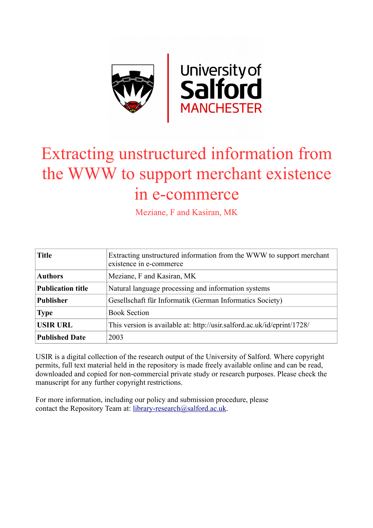

# Extracting unstructured information from the WWW to support merchant existence in e-commerce

Meziane, F and Kasiran, MK

| <b>Title</b>             | Extracting unstructured information from the WWW to support merchant<br>existence in e-commerce |
|--------------------------|-------------------------------------------------------------------------------------------------|
| <b>Authors</b>           | Meziane, F and Kasiran, MK                                                                      |
| <b>Publication title</b> | Natural language processing and information systems                                             |
| <b>Publisher</b>         | Gesellschaft für Informatik (German Informatics Society)                                        |
| <b>Type</b>              | <b>Book Section</b>                                                                             |
| <b>USIR URL</b>          | This version is available at: http://usir.salford.ac.uk/id/eprint/1728/                         |
| <b>Published Date</b>    | 2003                                                                                            |

USIR is a digital collection of the research output of the University of Salford. Where copyright permits, full text material held in the repository is made freely available online and can be read, downloaded and copied for non-commercial private study or research purposes. Please check the manuscript for any further copyright restrictions.

For more information, including our policy and submission procedure, please contact the Repository Team at: [library-research@salford.ac.uk.](mailto:library-research@salford.ac.uk)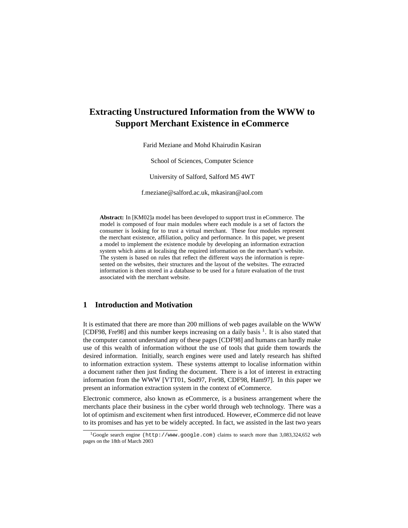## **Extracting Unstructured Information from the WWW to Support Merchant Existence in eCommerce**

Farid Meziane and Mohd Khairudin Kasiran

School of Sciences, Computer Science

University of Salford, Salford M5 4WT

f.meziane@salford.ac.uk, mkasiran@aol.com

**Abstract:** In [KM02]a model has been developed to support trust in eCommerce. The model is composed of four main modules where each module is a set of factors the consumer is looking for to trust a virtual merchant. These four modules represent the merchant existence, affiliation, policy and performance. In this paper, we present a model to implement the existence module by developing an information extraction system which aims at localising the required information on the merchant's website. The system is based on rules that reflect the different ways the information is represented on the websites, their structures and the layout of the websites. The extracted information is then stored in a database to be used for a future evaluation of the trust associated with the merchant website.

## **1 Introduction and Motivation**

It is estimated that there are more than 200 millions of web pages available on the WWW [CDF98, Fre98] and this number keeps increasing on a daily basis <sup>1</sup>. It is also stated that the computer cannot understand any of these pages [CDF98] and humans can hardly make use of this wealth of information without the use of tools that guide them towards the desired information. Initially, search engines were used and lately research has shifted to information extraction system. These systems attempt to localise information within a document rather then just finding the document. There is a lot of interest in extracting information from the WWW [VTT01, Sod97, Fre98, CDF98, Ham97]. In this paper we present an information extraction system in the context of eCommerce.

Electronic commerce, also known as eCommerce, is a business arrangement where the merchants place their business in the cyber world through web technology. There was a lot of optimism and excitement when first introduced. However, eCommerce did not leave to its promises and has yet to be widely accepted. In fact, we assisted in the last two years

<sup>1</sup>Google search engine (http://www.google.com) claims to search more than 3,083,324,652 web pages on the 18th of March 2003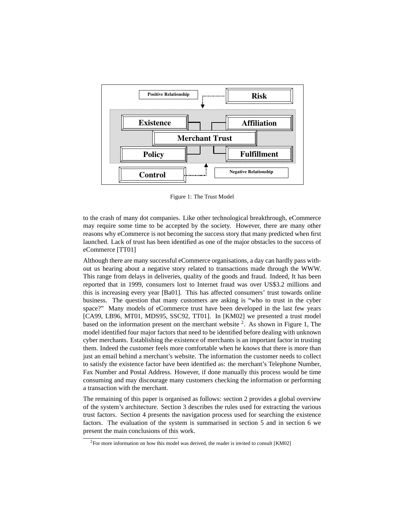

Figure 1: The Trust Model

to the crash of many dot companies. Like other technological breakthrough, eCommerce may require some time to be accepted by the society. However, there are many other reasons why eCommerce is not becoming the success story that many predicted when first launched. Lack of trust has been identified as one of the major obstacles to the success of eCommerce [TT01]

Although there are many successful eCommerce organisations, a day can hardly pass without us hearing about a negative story related to transactions made through the WWW. This range from delays in deliveries, quality of the goods and fraud. Indeed, It has been reported that in 1999, consumers lost to Internet fraud was over US\$3.2 millions and this is increasing every year [Ba01]. This has affected consumers' trust towards online business. The question that many customers are asking is "who to trust in the cyber space?" Many models of eCommerce trust have been developed in the last few years [CA99, LB96, MT01, MDS95, SSC92, TT01]. In [KM02] we presented a trust model based on the information present on the merchant website  $2$ . As shown in Figure 1, The model identified four major factors that need to be identified before dealing with unknown cyber merchants. Establishing the existence of merchants is an important factor in trusting them. Indeed the customer feels more comfortable when he knows that there is more than just an email behind a merchant's website. The information the customer needs to collect to satisfy the existence factor have been identified as: the merchant's Telephone Number, Fax Number and Postal Address. However, if done manually this process would be time consuming and may discourage many customers checking the information or performing a transaction with the merchant.

The remaining of this paper is organised as follows: section 2 provides a global overview of the system's architecture. Section 3 describes the rules used for extracting the various trust factors. Section 4 presents the navigation process used for searching the existence factors. The evaluation of the system is summarised in section 5 and in section 6 we present the main conclusions of this work.

<sup>&</sup>lt;sup>2</sup>For more information on how this model was derived, the reader is invited to consult [KM02]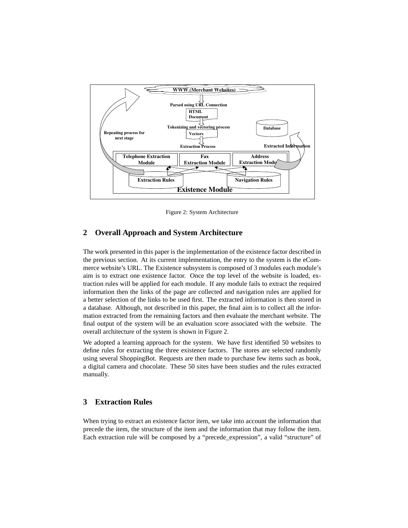

Figure 2: System Architecture

## **2 Overall Approach and System Architecture**

The work presented in this paper is the implementation of the existence factor described in the previous section. At its current implementation, the entry to the system is the eCommerce website's URL. The Existence subsystem is composed of 3 modules each module's aim is to extract one existence factor. Once the top level of the website is loaded, extraction rules will be applied for each module. If any module fails to extract the required information then the links of the page are collected and navigation rules are applied for a better selection of the links to be used first. The extracted information is then stored in a database. Although, not described in this paper, the final aim is to collect all the information extracted from the remaining factors and then evaluate the merchant website. The final output of the system will be an evaluation score associated with the website. The overall architecture of the system is shown in Figure 2.

We adopted a learning approach for the system. We have first identified 50 websites to define rules for extracting the three existence factors. The stores are selected randomly using several ShoppingBot. Requests are then made to purchase few items such as book, a digital camera and chocolate. These 50 sites have been studies and the rules extracted manually.

## **3 Extraction Rules**

When trying to extract an existence factor item, we take into account the information that precede the item, the structure of the item and the information that may follow the item. Each extraction rule will be composed by a "precede\_expression", a valid "structure" of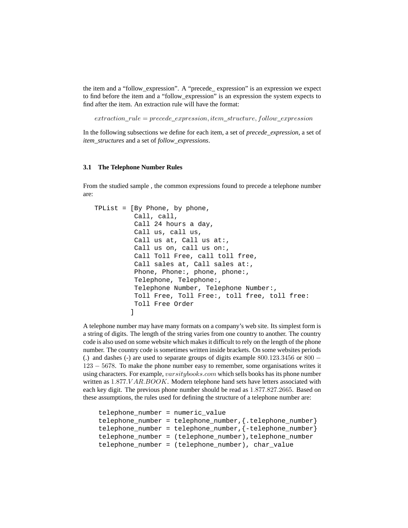the item and a "follow\_expression". A "precede\_ expression" is an expression we expect to find before the item and a "follow\_expression" is an expression the system expects to find after the item. An extraction rule will have the format:

 $extraction$ <sub>rule</sub> =  $precede$ <sub>expression, item\_structure, follow\_expression</sub>

In the following subsections we define for each item, a set of *precede\_expression*, a set of *item\_structures* and a set of *follow\_expressions*.

#### **3.1 The Telephone Number Rules**

From the studied sample , the common expressions found to precede a telephone number are:

```
TPList = [By Phone, by phone,
          Call, call,
          Call 24 hours a day,
          Call us, call us,
          Call us at, Call us at:,
          Call us on, call us on:,
          Call Toll Free, call toll free,
          Call sales at, Call sales at:,
          Phone, Phone:, phone, phone:,
          Telephone, Telephone:,
          Telephone Number, Telephone Number:,
          Toll Free, Toll Free:, toll free, toll free:
          Toll Free Order
         ]
```
A telephone number may have many formats on a company's web site. Its simplest form is a string of digits. The length of the string varies from one country to another. The country code is also used on some website which makes it difficult to rely on the length of the phone number. The country code is sometimes written inside brackets. On some websites periods (.) and dashes (-) are used to separate groups of digits example  $800.123.3456$  or  $800 -$ 123 − 5678. To make the phone number easy to remember, some organisations writes it using characters. For example,  $varsitybooks.com$  which sells books has its phone number written as  $1.877.VAR.BOOK$ . Modern telephone hand sets have letters associated with each key digit. The previous phone number should be read as 1.877.827.2665. Based on these assumptions, the rules used for defining the structure of a telephone number are:

```
telephone_number = numeric_value
telephone_number = telephone_number,{.telephone_number}
telephone_number = telephone_number,{-telephone_number}
telephone_number = (telephone_number),telephone_number
telephone_number = (telephone_number), char_value
```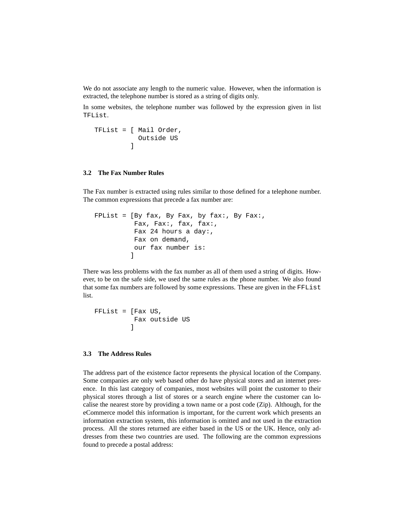We do not associate any length to the numeric value. However, when the information is extracted, the telephone number is stored as a string of digits only.

In some websites, the telephone number was followed by the expression given in list TFList.

```
TFList = [ Mail Order,
           Outside US
         ]
```
### **3.2 The Fax Number Rules**

The Fax number is extracted using rules similar to those defined for a telephone number. The common expressions that precede a fax number are:

```
FPList = [By fax, By Fax, by fax:, By Fax:,
          Fax, Fax:, fax, fax:,
          Fax 24 hours a day:,
          Fax on demand,
          our fax number is:
         ]
```
There was less problems with the fax number as all of them used a string of digits. However, to be on the safe side, we used the same rules as the phone number. We also found that some fax numbers are followed by some expressions. These are given in the FFList list.

FFList = [Fax US, Fax outside US ]

#### **3.3 The Address Rules**

The address part of the existence factor represents the physical location of the Company. Some companies are only web based other do have physical stores and an internet presence. In this last category of companies, most websites will point the customer to their physical stores through a list of stores or a search engine where the customer can localise the nearest store by providing a town name or a post code (Zip). Although, for the eCommerce model this information is important, for the current work which presents an information extraction system, this information is omitted and not used in the extraction process. All the stores returned are either based in the US or the UK. Hence, only addresses from these two countries are used. The following are the common expressions found to precede a postal address: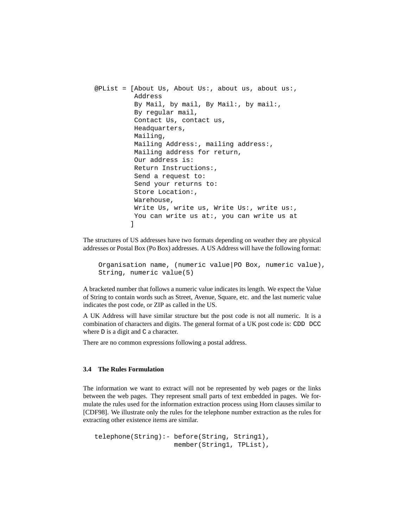```
@PList = [About Us, About Us:, about us, about us:,
          Address
          By Mail, by mail, By Mail:, by mail:,
          By regular mail,
          Contact Us, contact us,
          Headquarters,
          Mailing,
          Mailing Address:, mailing address:,
          Mailing address for return,
          Our address is:
          Return Instructions:,
          Send a request to:
          Send your returns to:
          Store Location:,
          Warehouse,
          Write Us, write us, Write Us:, write us:,
          You can write us at:, you can write us at
         ]
```
The structures of US addresses have two formats depending on weather they are physical addresses or Postal Box (Po Box) addresses. A US Address will have the following format:

```
Organisation name, (numeric value|PO Box, numeric value),
String, numeric value(5)
```
A bracketed number that follows a numeric value indicates its length. We expect the Value of String to contain words such as Street, Avenue, Square, etc. and the last numeric value indicates the post code, or ZIP as called in the US.

A UK Address will have similar structure but the post code is not all numeric. It is a combination of characters and digits. The general format of a UK post code is: CDD DCC where  $D$  is a digit and  $C$  a character.

There are no common expressions following a postal address.

#### **3.4 The Rules Formulation**

The information we want to extract will not be represented by web pages or the links between the web pages. They represent small parts of text embedded in pages. We formulate the rules used for the information extraction process using Horn clauses similar to [CDF98]. We illustrate only the rules for the telephone number extraction as the rules for extracting other existence items are similar.

```
telephone(String):- before(String, String1),
                    member(String1, TPList),
```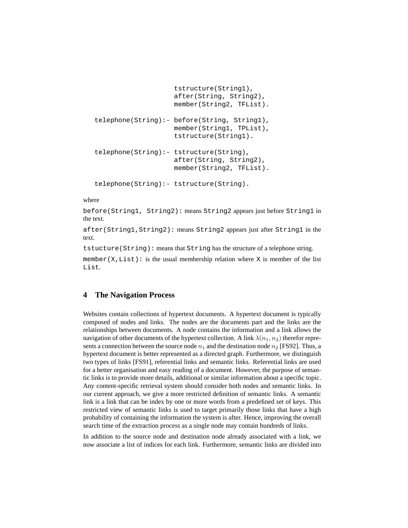```
tstructure(String1),
                    after(String, String2),
                    member(String2, TFList).
telephone(String):- before(String, String1),
                    member(String1, TPList),
                    tstructure(String1).
telephone(String):- tstructure(String),
                    after(String, String2),
                    member(String2, TFList).
telephone(String):- tstructure(String).
```
where

before(String1, String2): means String2 appears just before String1 in the text.

after(String1,String2): means String2 appears just after String1 in the text.

tstucture(String): means that String has the structure of a telephone string.

member(X, List): is the usual membership relation where X is member of the list List.

## **4 The Navigation Process**

Websites contain collections of hypertext documents. A hypertext document is typically composed of nodes and links. The nodes are the documents part and the links are the relationships between documents. A node contains the information and a link allows the navigation of other documents of the hypertext collection. A link  $\lambda(n_1, n_2)$  therefor represents a connection between the source node  $n_1$  and the destination node  $n_2$  [FS92]. Thus, a hypertext document is better represented as a directed graph. Furthermore, we distinguish two types of links [FS91], referential links and semantic links. Referential links are used for a better organisation and easy reading of a document. However, the purpose of semantic links is to provide more details, additional or similar information about a specific topic. Any content-specific retrieval system should consider both nodes and semantic links. In our current approach, we give a more restricted definition of semantic links. A semantic link is a link that can be index by one or more words from a predefined set of keys. This restricted view of semantic links is used to target primarily those links that have a high probability of containing the information the system is after. Hence, improving the overall search time of the extraction process as a single node may contain hundreds of links.

In addition to the source node and destination node already associated with a link, we now associate a list of indices for each link. Furthermore, semantic links are divided into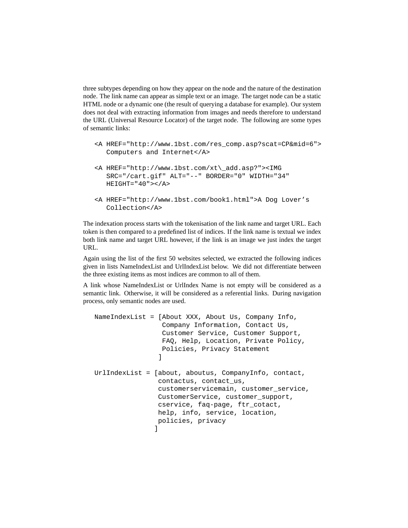three subtypes depending on how they appear on the node and the nature of the destination node. The link name can appear as simple text or an image. The target node can be a static HTML node or a dynamic one (the result of querying a database for example). Our system does not deal with extracting information from images and needs therefore to understand the URL (Universal Resource Locator) of the target node. The following are some types of semantic links:

- <A HREF="http://www.1bst.com/res\_comp.asp?scat=CP&mid=6"> Computers and Internet</A>
- <A HREF="http://www.1bst.com/xt\\_add.asp?"><IMG SRC="/cart.gif" ALT="--" BORDER="0" WIDTH="34" HEIGHT="40"></A>
- <A HREF="http://www.1bst.com/book1.html">A Dog Lover's Collection</A>

The indexation process starts with the tokenisation of the link name and target URL. Each token is then compared to a predefined list of indices. If the link name is textual we index both link name and target URL however, if the link is an image we just index the target URL.

Again using the list of the first 50 websites selected, we extracted the following indices given in lists NameIndexList and UrlIndexList below. We did not differentiate between the three existing items as most indices are common to all of them.

A link whose NameIndexList or UrlIndex Name is not empty will be considered as a semantic link. Otherwise, it will be considered as a referential links. During navigation process, only semantic nodes are used.

```
NameIndexList = [About XXX, About Us, Company Info,
                 Company Information, Contact Us,
                 Customer Service, Customer Support,
                 FAQ, Help, Location, Private Policy,
                 Policies, Privacy Statement
                ]
UrlIndexList = [about, aboutus, CompanyInfo, contact,
                contactus, contact_us,
                customerservicemain, customer_service,
                CustomerService, customer_support,
                cservice, faq-page, ftr_cotact,
                help, info, service, location,
                policies, privacy
               ]
```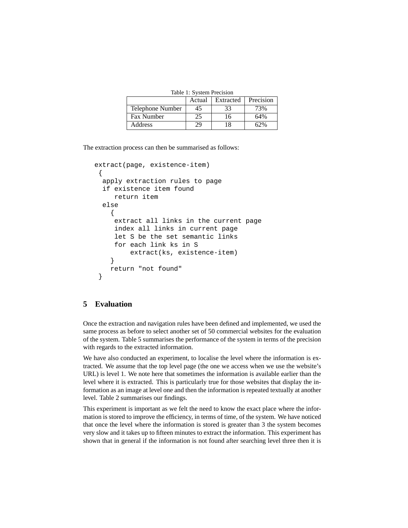Table 1: System Precision

|                   | Actual | Extracted | Precision |
|-------------------|--------|-----------|-----------|
| Telephone Number  | 45     | 33        | 3%        |
| <b>Fax Number</b> | 25     | 16        | 64%       |
| <b>Address</b>    |        |           |           |

The extraction process can then be summarised as follows:

```
extract(page, existence-item)
{
 apply extraction rules to page
 if existence item found
    return item
 else
    {
    extract all links in the current page
    index all links in current page
    let S be the set semantic links
    for each link ks in S
         extract(ks, existence-item)
    }
   return "not found"
 }
```
## **5 Evaluation**

Once the extraction and navigation rules have been defined and implemented, we used the same process as before to select another set of 50 commercial websites for the evaluation of the system. Table 5 summarises the performance of the system in terms of the precision with regards to the extracted information.

We have also conducted an experiment, to localise the level where the information is extracted. We assume that the top level page (the one we access when we use the website's URL) is level 1. We note here that sometimes the information is available earlier than the level where it is extracted. This is particularly true for those websites that display the information as an image at level one and then the information is repeated textually at another level. Table 2 summarises our findings.

This experiment is important as we felt the need to know the exact place where the information is stored to improve the efficiency, in terms of time, of the system. We have noticed that once the level where the information is stored is greater than 3 the system becomes very slow and it takes up to fifteen minutes to extract the information. This experiment has shown that in general if the information is not found after searching level three then it is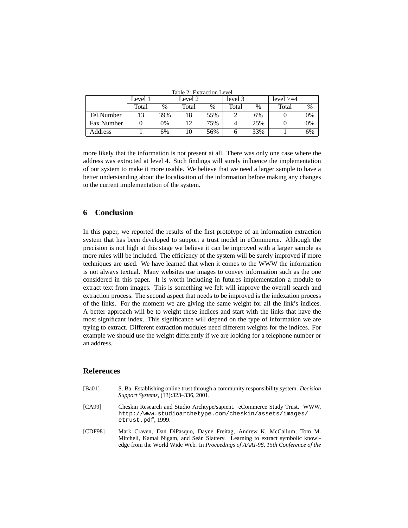| Tadie z: extraction level |         |      |         |     |         |      |              |               |  |  |  |
|---------------------------|---------|------|---------|-----|---------|------|--------------|---------------|--|--|--|
|                           | Level 1 |      | Level 2 |     | level 3 |      | $level >= 4$ |               |  |  |  |
|                           | Total   | $\%$ | Total   | %   | Total   | $\%$ | Total        | $\frac{0}{0}$ |  |  |  |
| Tel.Number                |         | 39%  | 18      | 55% |         | 6%   |              | 0%            |  |  |  |
| <b>Fax Number</b>         |         | 0%   |         | 75% |         | 25%  |              | 0%            |  |  |  |
| Address                   |         | 6%   |         | 56% |         | 33%  |              | 6%            |  |  |  |

Table 2: Extraction Level

more likely that the information is not present at all. There was only one case where the address was extracted at level 4. Such findings will surely influence the implementation of our system to make it more usable. We believe that we need a larger sample to have a better understanding about the localisation of the information before making any changes to the current implementation of the system.

## **6 Conclusion**

In this paper, we reported the results of the first prototype of an information extraction system that has been developed to support a trust model in eCommerce. Although the precision is not high at this stage we believe it can be improved with a larger sample as more rules will be included. The efficiency of the system will be surely improved if more techniques are used. We have learned that when it comes to the WWW the information is not always textual. Many websites use images to convey information such as the one considered in this paper. It is worth including in futures implementation a module to extract text from images. This is something we felt will improve the overall search and extraction process. The second aspect that needs to be improved is the indexation process of the links. For the moment we are giving the same weight for all the link's indices. A better approach will be to weight these indices and start with the links that have the most significant index. This significance will depend on the type of information we are trying to extract. Different extraction modules need different weights for the indices. For example we should use the weight differently if we are looking for a telephone number or an address.

#### **References**

- [Ba01] S. Ba. Establishing online trust through a community responsibility system. *Decision Support Systems*, (13):323–336, 2001.
- [CA99] Cheskin Research and Studio Archtype/sapient. eCommerce Study Trust. WWW, http://www.studioarchetype.com/cheskin/assets/images/ etrust.pdf, 1999.
- [CDF98] Mark Craven, Dan DiPasquo, Dayne Freitag, Andrew K. McCallum, Tom M. Mitchell, Kamal Nigam, and Seán Slattery. Learning to extract symbolic knowledge from the World Wide Web. In *Proceedings of AAAI-98, 15th Conference of the*